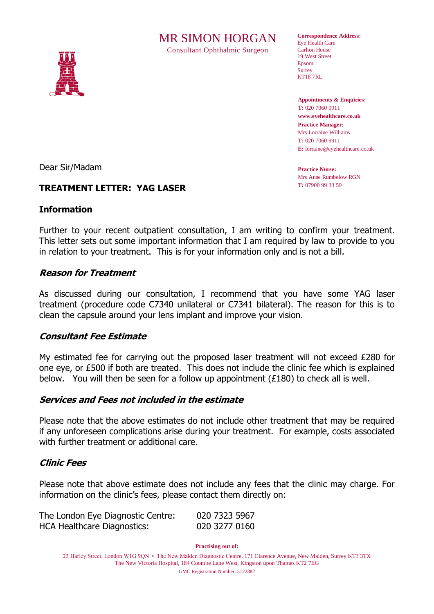# MR SIMON HORGAN

Consultant Ophthalmic Surgeon



**Correspondence Address:** Eye Health Care Carlton House 19 West Street Epsom **Surrey** KT18 7RL

**Appointments & Enquiries: T:** 020 7060 9911 **www.eyehealthcare.co.uk Practice Manager:** Mrs Lorraine Williams **T:** 020 7060 9911 **E:** lorraine@eyehealthcare.co.uk

**Practice Nurse:** Mrs Anne Rumbelow RGN **T:** 07900 99 33 59

Dear Sir/Madam

## **TREATMENT LETTER: YAG LASER**

### **Information**

Further to your recent outpatient consultation, I am writing to confirm your treatment. This letter sets out some important information that I am required by law to provide to you in relation to your treatment. This is for your information only and is not a bill.

#### **Reason for Treatment**

As discussed during our consultation, I recommend that you have some YAG laser treatment (procedure code C7340 unilateral or C7341 bilateral). The reason for this is to clean the capsule around your lens implant and improve your vision.

### **Consultant Fee Estimate**

My estimated fee for carrying out the proposed laser treatment will not exceed £280 for one eye, or £500 if both are treated. This does not include the clinic fee which is explained below. You will then be seen for a follow up appointment  $(E180)$  to check all is well.

### **Services and Fees not included in the estimate**

Please note that the above estimates do not include other treatment that may be required if any unforeseen complications arise during your treatment. For example, costs associated with further treatment or additional care.

### **Clinic Fees**

Please note that above estimate does not include any fees that the clinic may charge. For information on the clinic's fees, please contact them directly on:

| The London Eye Diagnostic Centre:  | 020 7323 5967 |
|------------------------------------|---------------|
| <b>HCA Healthcare Diagnostics:</b> | 020 3277 0160 |

**Practising out of:**